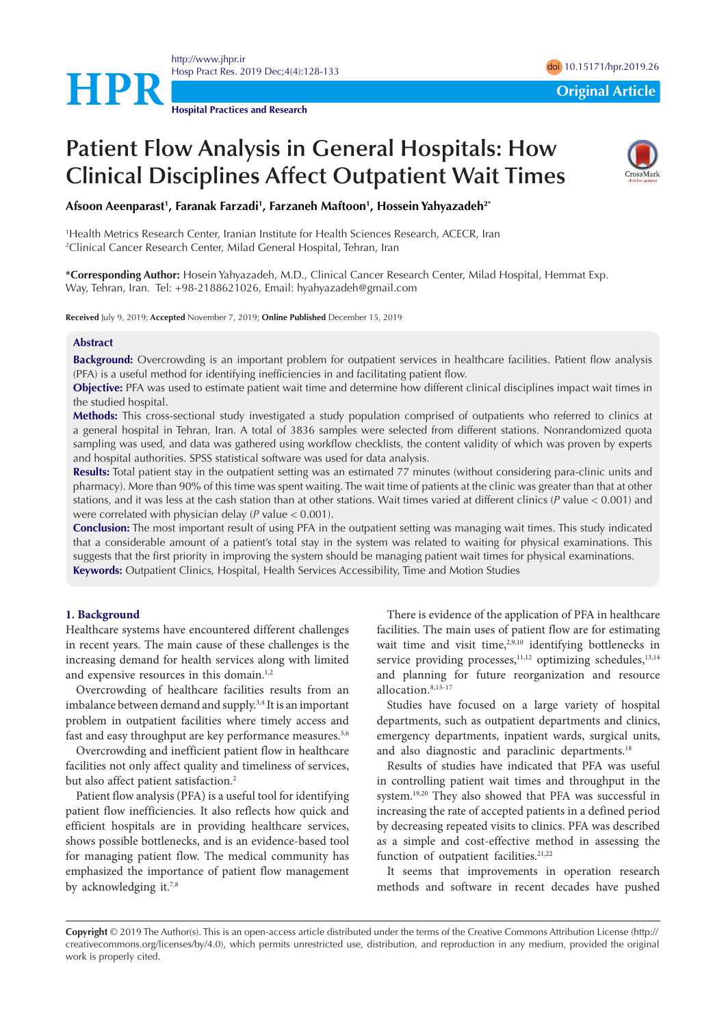

<http://www.jhpr.ir> Hosp Pract Res. 2019 Dec;4(4):128-133 doi [10.15171/hpr.2019.26](http://doi.org/10.15171/hpr.2019.26)

**Hospital Practices and Research**

# **Patient Flow Analysis in General Hospitals: How Clinical Disciplines Affect Outpatient Wait Times**



**Afsoon Aeenparast1 , Faranak Farzadi1 , Farzaneh Maftoon1 , Hossein Yahyazadeh2\***

1 Health Metrics Research Center, Iranian Institute for Health Sciences Research, ACECR, Iran 2 Clinical Cancer Research Center, Milad General Hospital, Tehran, Iran

**\*Corresponding Author:** Hosein Yahyazadeh, M.D., Clinical Cancer Research Center, Milad Hospital, Hemmat Exp. Way, Tehran, Iran. Tel: +98-2188621026, Email: hyahyazadeh@gmail.com

**Received** July 9, 2019; **Accepted** November 7, 2019; **Online Published** December 15, 2019

# **Abstract**

**Background:** Overcrowding is an important problem for outpatient services in healthcare facilities. Patient flow analysis (PFA) is a useful method for identifying inefficiencies in and facilitating patient flow.

**Objective:** PFA was used to estimate patient wait time and determine how different clinical disciplines impact wait times in the studied hospital.

**Methods:** This cross-sectional study investigated a study population comprised of outpatients who referred to clinics at a general hospital in Tehran, Iran. A total of 3836 samples were selected from different stations. Nonrandomized quota sampling was used, and data was gathered using workflow checklists, the content validity of which was proven by experts and hospital authorities. SPSS statistical software was used for data analysis.

**Results:** Total patient stay in the outpatient setting was an estimated 77 minutes (without considering para-clinic units and pharmacy). More than 90% of this time was spent waiting. The wait time of patients at the clinic was greater than that at other stations, and it was less at the cash station than at other stations. Wait times varied at different clinics (*P* value < 0.001) and were correlated with physician delay (*P* value < 0.001).

**Conclusion:** The most important result of using PFA in the outpatient setting was managing wait times. This study indicated that a considerable amount of a patient's total stay in the system was related to waiting for physical examinations. This suggests that the first priority in improving the system should be managing patient wait times for physical examinations. **Keywords:** Outpatient Clinics, Hospital, Health Services Accessibility, Time and Motion Studies

#### **1. Background**

Healthcare systems have encountered different challenges in recent years. The main cause of these challenges is the increasing demand for health services along with limited and expensive resources in this domain.<sup>1,2</sup>

Overcrowding of healthcare facilities results from an imbalance between demand and supply.3,4 It is an important problem in outpatient facilities where timely access and fast and easy throughput are key performance measures.<sup>5,6</sup>

Overcrowding and inefficient patient flow in healthcare facilities not only affect quality and timeliness of services, but also affect patient satisfaction.<sup>2</sup>

Patient flow analysis (PFA) is a useful tool for identifying patient flow inefficiencies. It also reflects how quick and efficient hospitals are in providing healthcare services, shows possible bottlenecks, and is an evidence-based tool for managing patient flow. The medical community has emphasized the importance of patient flow management by acknowledging it.<sup>7,8</sup>

There is evidence of the application of PFA in healthcare facilities. The main uses of patient flow are for estimating wait time and visit time,<sup>2,9,10</sup> identifying bottlenecks in service providing processes, $11,12$  optimizing schedules, $13,14$ and planning for future reorganization and resource allocation.8,15-17

Studies have focused on a large variety of hospital departments, such as outpatient departments and clinics, emergency departments, inpatient wards, surgical units, and also diagnostic and paraclinic departments.<sup>18</sup>

Results of studies have indicated that PFA was useful in controlling patient wait times and throughput in the system.19,20 They also showed that PFA was successful in increasing the rate of accepted patients in a defined period by decreasing repeated visits to clinics. PFA was described as a simple and cost-effective method in assessing the function of outpatient facilities.<sup>21,22</sup>

It seems that improvements in operation research methods and software in recent decades have pushed

**Copyright** © 2019 The Author(s). This is an open-access article distributed under the terms of the Creative Commons Attribution License (http:// creativecommons.org/licenses/by/4.0), which permits unrestricted use, distribution, and reproduction in any medium, provided the original work is properly cited.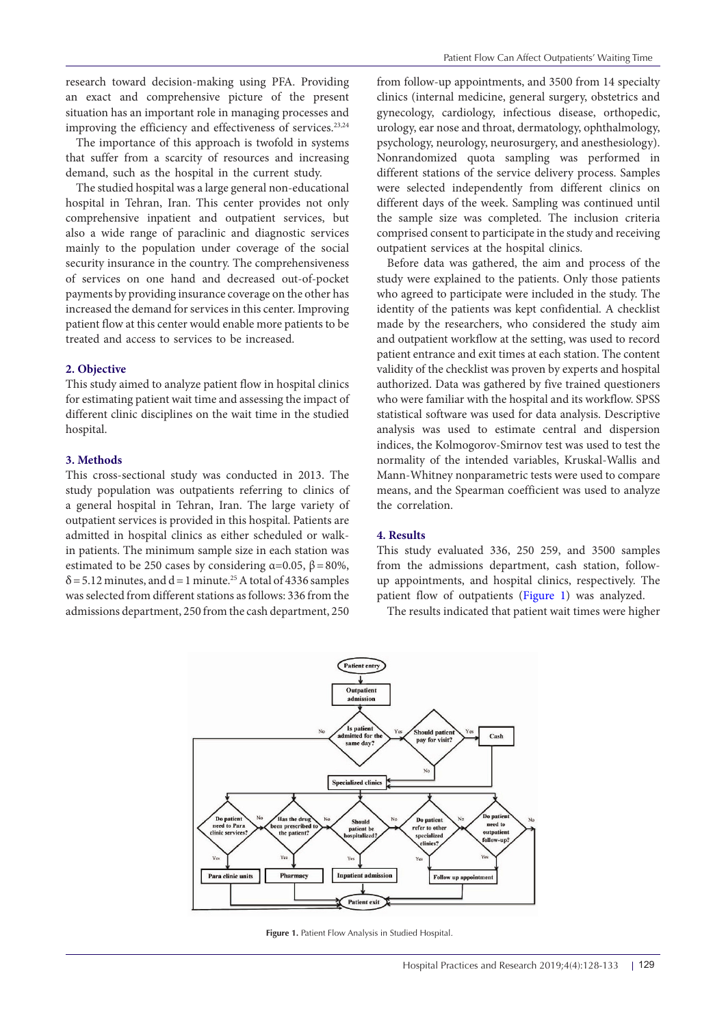research toward decision-making using PFA. Providing an exact and comprehensive picture of the present situation has an important role in managing processes and improving the efficiency and effectiveness of services.<sup>23,24</sup>

The importance of this approach is twofold in systems that suffer from a scarcity of resources and increasing demand, such as the hospital in the current study.

The studied hospital was a large general non-educational hospital in Tehran, Iran. This center provides not only comprehensive inpatient and outpatient services, but also a wide range of paraclinic and diagnostic services mainly to the population under coverage of the social security insurance in the country. The comprehensiveness of services on one hand and decreased out-of-pocket payments by providing insurance coverage on the other has increased the demand for services in this center. Improving patient flow at this center would enable more patients to be treated and access to services to be increased.

## **2. Objective**

This study aimed to analyze patient flow in hospital clinics for estimating patient wait time and assessing the impact of different clinic disciplines on the wait time in the studied hospital.

#### **3. Methods**

This cross-sectional study was conducted in 2013. The study population was outpatients referring to clinics of a general hospital in Tehran, Iran. The large variety of outpatient services is provided in this hospital. Patients are admitted in hospital clinics as either scheduled or walkin patients. The minimum sample size in each station was estimated to be 250 cases by considering  $\alpha$ =0.05,  $\beta$ =80%,  $\delta$  = 5.12 minutes, and d = 1 minute.<sup>25</sup> A total of 4336 samples was selected from different stations as follows: 336 from the admissions department, 250 from the cash department, 250

from follow-up appointments, and 3500 from 14 specialty clinics (internal medicine, general surgery, obstetrics and gynecology, cardiology, infectious disease, orthopedic, urology, ear nose and throat, dermatology, ophthalmology, psychology, neurology, neurosurgery, and anesthesiology). Nonrandomized quota sampling was performed in different stations of the service delivery process. Samples were selected independently from different clinics on different days of the week. Sampling was continued until the sample size was completed. The inclusion criteria comprised consent to participate in the study and receiving outpatient services at the hospital clinics.

Before data was gathered, the aim and process of the study were explained to the patients. Only those patients who agreed to participate were included in the study. The identity of the patients was kept confidential. A checklist made by the researchers, who considered the study aim and outpatient workflow at the setting, was used to record patient entrance and exit times at each station. The content validity of the checklist was proven by experts and hospital authorized. Data was gathered by five trained questioners who were familiar with the hospital and its workflow. SPSS statistical software was used for data analysis. Descriptive analysis was used to estimate central and dispersion indices, the Kolmogorov-Smirnov test was used to test the normality of the intended variables, Kruskal-Wallis and Mann-Whitney nonparametric tests were used to compare means, and the Spearman coefficient was used to analyze the correlation.

#### **4. Results**

This study evaluated 336, 250 259, and 3500 samples from the admissions department, cash station, followup appointments, and hospital clinics, respectively. The patient flow of outpatients ([Figure 1](#page-1-0)) was analyzed.

<span id="page-1-0"></span>The results indicated that patient wait times were higher



**Figure 1.** Patient Flow Analysis in Studied Hospital.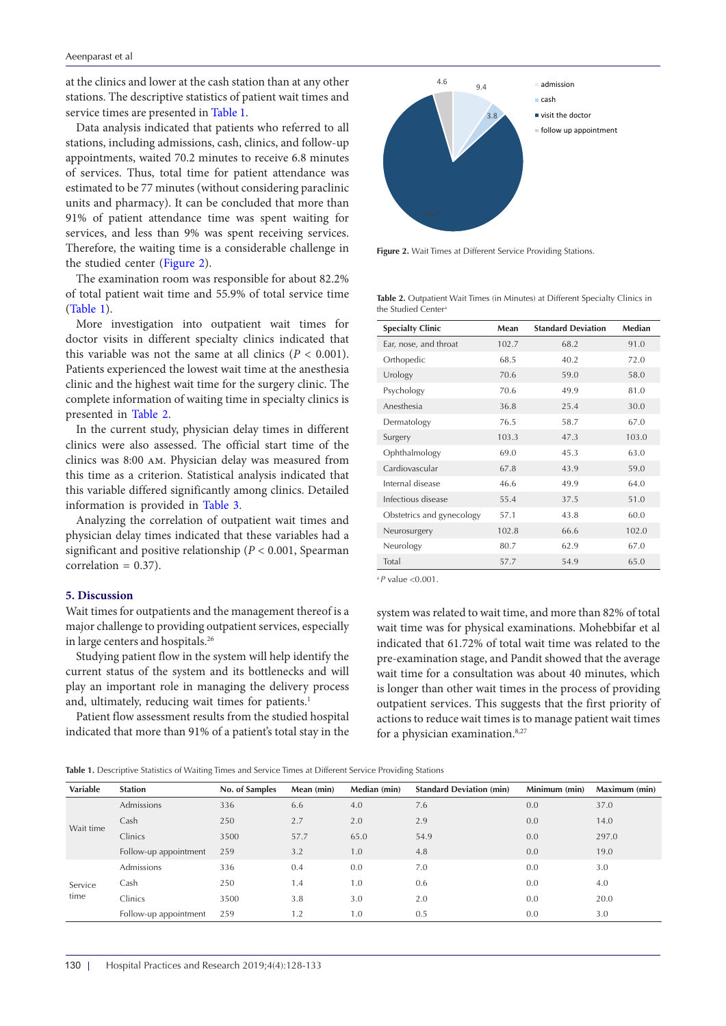at the clinics and lower at the cash station than at any other stations. The descriptive statistics of patient wait times and service times are presented in [Table 1](#page-2-0).

Data analysis indicated that patients who referred to all stations, including admissions, cash, clinics, and follow-up appointments, waited 70.2 minutes to receive 6.8 minutes of services. Thus, total time for patient attendance was estimated to be 77 minutes (without considering paraclinic units and pharmacy). It can be concluded that more than 91% of patient attendance time was spent waiting for services, and less than 9% was spent receiving services. Therefore, the waiting time is a considerable challenge in the studied center [\(Figure 2\)](#page-2-1).

The examination room was responsible for about 82.2% of total patient wait time and 55.9% of total service time [\(Table 1\)](#page-2-0).

More investigation into outpatient wait times for doctor visits in different specialty clinics indicated that this variable was not the same at all clinics  $(P < 0.001)$ . Patients experienced the lowest wait time at the anesthesia clinic and the highest wait time for the surgery clinic. The complete information of waiting time in specialty clinics is presented in [Table 2.](#page-2-2)

In the current study, physician delay times in different clinics were also assessed. The official start time of the clinics was 8:00 am. Physician delay was measured from this time as a criterion. Statistical analysis indicated that this variable differed significantly among clinics. Detailed information is provided in [Table 3](#page-3-0).

Analyzing the correlation of outpatient wait times and physician delay times indicated that these variables had a significant and positive relationship (*P* < 0.001, Spearman  $correlation = 0.37$ ).

#### **5. Discussion**

Wait times for outpatients and the management thereof is a major challenge to providing outpatient services, especially in large centers and hospitals.26

Studying patient flow in the system will help identify the current status of the system and its bottlenecks and will play an important role in managing the delivery process and, ultimately, reducing wait times for patients.<sup>1</sup>

Patient flow assessment results from the studied hospital indicated that more than 91% of a patient's total stay in the

<span id="page-2-1"></span>

**Figure 2.** Wait Times at Different Service Providing Stations.

<span id="page-2-2"></span>**Table 2.** Outpatient Wait Times (in Minutes) at Different Specialty Clinics in the Studied Center

| <b>Specialty Clinic</b>   | Mean  | <b>Standard Deviation</b> | Median |
|---------------------------|-------|---------------------------|--------|
| Ear, nose, and throat     | 102.7 | 68.2                      | 91.0   |
| Orthopedic                | 68.5  | 40.2                      | 72.0   |
| Urology                   | 70.6  | 59.0                      | 58.0   |
| Psychology                | 70.6  | 49.9                      | 81.0   |
| Anesthesia                | 36.8  | 25.4                      | 30.0   |
| Dermatology               | 76.5  | 58.7                      | 67.0   |
| Surgery                   | 103.3 | 47.3                      | 103.0  |
| Ophthalmology             | 69.0  | 45.3                      | 63.0   |
| Cardiovascular            | 67.8  | 43.9                      | 59.0   |
| Internal disease          | 46.6  | 49.9                      | 64.0   |
| Infectious disease        | 55.4  | 37.5                      | 51.0   |
| Obstetrics and gynecology | 57.1  | 43.8                      | 60.0   |
| Neurosurgery              | 102.8 | 66.6                      | 102.0  |
| Neurology                 | 80.7  | 62.9                      | 67.0   |
| Total                     | 57.7  | 54.9                      | 65.0   |

<sup>a</sup>*P* value <0.001.

system was related to wait time, and more than 82% of total wait time was for physical examinations. Mohebbifar et al indicated that 61.72% of total wait time was related to the pre-examination stage, and Pandit showed that the average wait time for a consultation was about 40 minutes, which is longer than other wait times in the process of providing outpatient services. This suggests that the first priority of actions to reduce wait times is to manage patient wait times for a physician examination.<sup>8,27</sup>

<span id="page-2-0"></span>**Table 1.** Descriptive Statistics of Waiting Times and Service Times at Different Service Providing Stations

| Variable        | <b>Station</b>        | No. of Samples | Mean (min) | Median (min) | <b>Standard Deviation (min)</b> | Minimum (min) | Maximum (min) |
|-----------------|-----------------------|----------------|------------|--------------|---------------------------------|---------------|---------------|
| Wait time       | Admissions            | 336            | 6.6        | 4.0          | 7.6                             | 0.0           | 37.0          |
|                 | Cash                  | 250            | 2.7        | 2.0          | 2.9                             | 0.0           | 14.0          |
|                 | Clinics               | 3500           | 57.7       | 65.0         | 54.9                            | 0.0           | 297.0         |
|                 | Follow-up appointment | 259            | 3.2        | 1.0          | 4.8                             | 0.0           | 19.0          |
| Service<br>time | <b>Admissions</b>     | 336            | 0.4        | 0.0          | 7.0                             | 0.0           | 3.0           |
|                 | Cash                  | 250            | 1.4        | 1.0          | 0.6                             | 0.0           | 4.0           |
|                 | Clinics               | 3500           | 3.8        | 3.0          | 2.0                             | 0.0           | 20.0          |
|                 | Follow-up appointment | 259            | 1.2        | 1.0          | 0.5                             | 0.0           | 3.0           |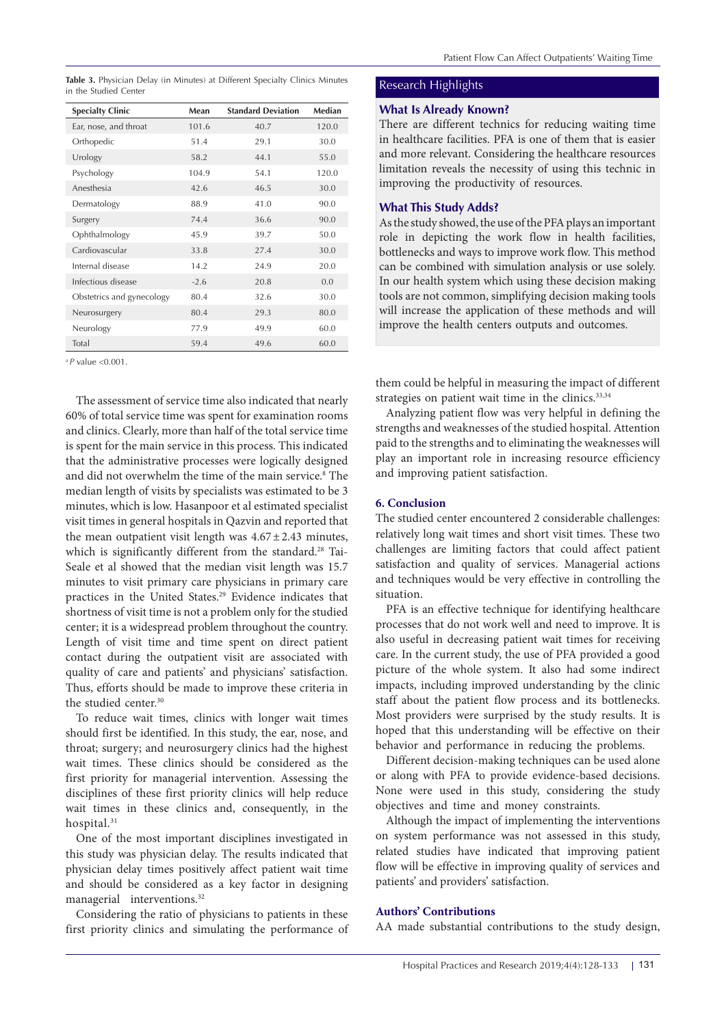<span id="page-3-0"></span>**Table 3.** Physician Delay (in Minutes) at Different Specialty Clinics Minutes in the Studied Center

| <b>Specialty Clinic</b>   | Mean   | <b>Standard Deviation</b> | Median |
|---------------------------|--------|---------------------------|--------|
| Ear, nose, and throat     | 101.6  | 40.7                      | 120.0  |
| Orthopedic                | 51.4   | 29.1                      | 30.0   |
| Urology                   | 58.2   | 44.1                      | 55.0   |
| Psychology                | 104.9  | 54.1                      | 120.0  |
| Anesthesia                | 42.6   | 46.5                      | 30.0   |
| Dermatology               | 88.9   | 41.0                      | 90.0   |
| Surgery                   | 74.4   | 36.6                      | 90.0   |
| Ophthalmology             | 45.9   | 39.7                      | 50.0   |
| Cardiovascular            | 33.8   | 27.4                      | 30.0   |
| Internal disease          | 14.2   | 24.9                      | 20.0   |
| Infectious disease        | $-2.6$ | 20.8                      | 0.0    |
| Obstetrics and gynecology | 80.4   | 32.6                      | 30.0   |
| Neurosurgery              | 80.4   | 29.3                      | 80.0   |
| Neurology                 | 77.9   | 49.9                      | 60.0   |
| Total                     | 59.4   | 49.6                      | 60.0   |

a *P* value <0.001.

The assessment of service time also indicated that nearly 60% of total service time was spent for examination rooms and clinics. Clearly, more than half of the total service time is spent for the main service in this process. This indicated that the administrative processes were logically designed and did not overwhelm the time of the main service.<sup>8</sup> The median length of visits by specialists was estimated to be 3 minutes, which is low. Hasanpoor et al estimated specialist visit times in general hospitals in Qazvin and reported that the mean outpatient visit length was  $4.67 \pm 2.43$  minutes, which is significantly different from the standard.<sup>28</sup> [Tai-](https://www.ncbi.nlm.nih.gov/pubmed/?term=Tai-Seale M%5BAuthor%5D&cauthor=true&cauthor_uid=17850524)[Seale](https://www.ncbi.nlm.nih.gov/pubmed/?term=Tai-Seale M%5BAuthor%5D&cauthor=true&cauthor_uid=17850524) et al showed that the median visit length was 15.7 minutes to visit primary care physicians in primary care practices in the United States.29 Evidence indicates that shortness of visit time is not a problem only for the studied center; it is a widespread problem throughout the country. Length of visit time and time spent on direct patient contact during the outpatient visit are associated with quality of care and patients' and physicians' satisfaction. Thus, efforts should be made to improve these criteria in the studied center.<sup>30</sup>

To reduce wait times, clinics with longer wait times should first be identified. In this study, the ear, nose, and throat; surgery; and neurosurgery clinics had the highest wait times. These clinics should be considered as the first priority for managerial intervention. Assessing the disciplines of these first priority clinics will help reduce wait times in these clinics and, consequently, in the hospital.<sup>31</sup>

One of the most important disciplines investigated in this study was physician delay. The results indicated that physician delay times positively affect patient wait time and should be considered as a key factor in designing managerial interventions.<sup>32</sup>

Considering the ratio of physicians to patients in these first priority clinics and simulating the performance of

# Research Highlights

#### **What Is Already Known?**

There are different technics for reducing waiting time in healthcare facilities. PFA is one of them that is easier and more relevant. Considering the healthcare resources limitation reveals the necessity of using this technic in improving the productivity of resources.

# **What This Study Adds?**

As the study showed, the use of the PFA plays an important role in depicting the work flow in health facilities, bottlenecks and ways to improve work flow. This method can be combined with simulation analysis or use solely. In our health system which using these decision making tools are not common, simplifying decision making tools will increase the application of these methods and will improve the health centers outputs and outcomes.

them could be helpful in measuring the impact of different strategies on patient wait time in the clinics.<sup>33,34</sup>

Analyzing patient flow was very helpful in defining the strengths and weaknesses of the studied hospital. Attention paid to the strengths and to eliminating the weaknesses will play an important role in increasing resource efficiency and improving patient satisfaction.

# **6. Conclusion**

The studied center encountered 2 considerable challenges: relatively long wait times and short visit times. These two challenges are limiting factors that could affect patient satisfaction and quality of services. Managerial actions and techniques would be very effective in controlling the situation.

PFA is an effective technique for identifying healthcare processes that do not work well and need to improve. It is also useful in decreasing patient wait times for receiving care. In the current study, the use of PFA provided a good picture of the whole system. It also had some indirect impacts, including improved understanding by the clinic staff about the patient flow process and its bottlenecks. Most providers were surprised by the study results. It is hoped that this understanding will be effective on their behavior and performance in reducing the problems.

Different decision-making techniques can be used alone or along with PFA to provide evidence-based decisions. None were used in this study, considering the study objectives and time and money constraints.

Although the impact of implementing the interventions on system performance was not assessed in this study, related studies have indicated that improving patient flow will be effective in improving quality of services and patients' and providers' satisfaction.

# **Authors' Contributions**

AA made substantial contributions to the study design,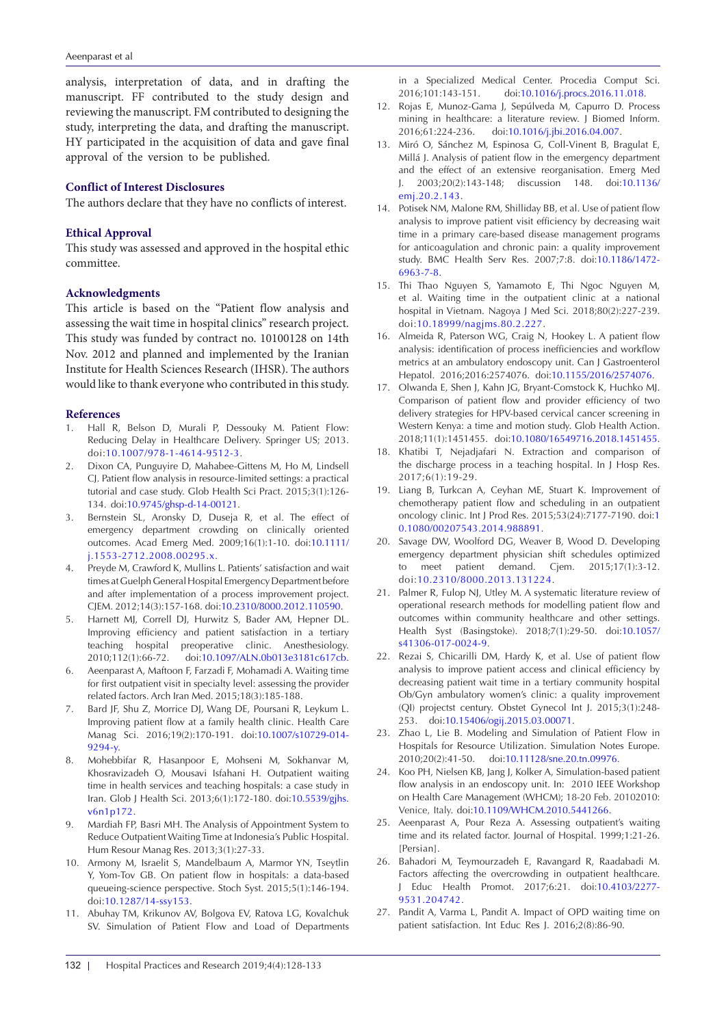analysis, interpretation of data, and in drafting the manuscript. FF contributed to the study design and reviewing the manuscript. FM contributed to designing the study, interpreting the data, and drafting the manuscript. HY participated in the acquisition of data and gave final approval of the version to be published.

#### **Conflict of Interest Disclosures**

The authors declare that they have no conflicts of interest.

# **Ethical Approval**

This study was assessed and approved in the hospital ethic committee.

#### **Acknowledgments**

This article is based on the "Patient flow analysis and assessing the wait time in hospital clinics" research project. This study was funded by contract no. 10100128 on 14th Nov. 2012 and planned and implemented by the Iranian Institute for Health Sciences Research (IHSR). The authors would like to thank everyone who contributed in this study.

#### **References**

- 1. Hall R, Belson D, Murali P, Dessouky M. Patient Flow: Reducing Delay in Healthcare Delivery. Springer US; 2013. doi:[10.1007/978-1-4614-9512-3.](https://doi.org/10.1007/978-1-4614-9512-3)
- 2. Dixon CA, Punguyire D, Mahabee-Gittens M, Ho M, Lindsell CJ. Patient flow analysis in resource-limited settings: a practical tutorial and case study. Glob Health Sci Pract. 2015;3(1):126- 134. doi[:10.9745/ghsp-d-14-00121.](https://doi.org/10.9745/ghsp-d-14-00121)
- 3. Bernstein SL, Aronsky D, Duseja R, et al. The effect of emergency department crowding on clinically oriented outcomes. Acad Emerg Med. 2009;16(1):1-10. doi[:10.1111/](https://doi.org/10.1111/j.1553-2712.2008.00295.x) [j.1553-2712.2008.00295.x](https://doi.org/10.1111/j.1553-2712.2008.00295.x).
- 4. Preyde M, Crawford K, Mullins L. Patients' satisfaction and wait times at Guelph General Hospital Emergency Department before and after implementation of a process improvement project. CJEM. 2012;14(3):157-168. doi[:10.2310/8000.2012.110590](https://doi.org/10.2310/8000.2012.110590).
- 5. Harnett MJ, Correll DJ, Hurwitz S, Bader AM, Hepner DL. Improving efficiency and patient satisfaction in a tertiary teaching hospital preoperative clinic. Anesthesiology. 2010;112(1):66-72. doi[:10.1097/ALN.0b013e3181c617cb](https://doi.org/10.1097/ALN.0b013e3181c617cb).
- 6. Aeenparast A, Maftoon F, Farzadi F, Mohamadi A. Waiting time for first outpatient visit in specialty level: assessing the provider related factors. Arch Iran Med. 2015;18(3):185-188.
- 7. Bard JF, Shu Z, Morrice DJ, Wang DE, Poursani R, Leykum L. Improving patient flow at a family health clinic. Health Care Manag Sci. 2016;19(2):170-191. doi[:10.1007/s10729-014-](https://doi.org/10.1007/s10729-014-9294-y) [9294-y.](https://doi.org/10.1007/s10729-014-9294-y)
- 8. Mohebbifar R, Hasanpoor E, Mohseni M, Sokhanvar M, Khosravizadeh O, Mousavi Isfahani H. Outpatient waiting time in health services and teaching hospitals: a case study in Iran. Glob J Health Sci. 2013;6(1):172-180. doi[:10.5539/gjhs.](https://doi.org/10.5539/gjhs.v6n1p172) [v6n1p172](https://doi.org/10.5539/gjhs.v6n1p172).
- 9. Mardiah FP, Basri MH. The Analysis of Appointment System to Reduce Outpatient Waiting Time at Indonesia's Public Hospital. Hum Resour Manag Res. 2013;3(1):27-33.
- 10. Armony M, Israelit S, Mandelbaum A, Marmor YN, Tseytlin Y, Yom-Tov GB. On patient flow in hospitals: a data-based queueing-science perspective. Stoch Syst. 2015;5(1):146-194. doi:[10.1287/14-ssy153.](https://doi.org/10.1287/14-ssy153)
- 11. Abuhay TM, Krikunov AV, Bolgova EV, Ratova LG, Kovalchuk SV. Simulation of Patient Flow and Load of Departments

in a Specialized Medical Center. Procedia Comput Sci. 2016;101:143-151. doi[:10.1016/j.procs.2016.11.018](https://doi.org/10.1016/j.procs.2016.11.018).

- 12. Rojas E, Munoz-Gama J, Sepúlveda M, Capurro D. Process mining in healthcare: a literature review. J Biomed Inform. 2016;61:224-236. doi:[10.1016/j.jbi.2016.04.007](https://doi.org/10.1016/j.jbi.2016.04.007).
- 13. Miró O, Sánchez M, Espinosa G, Coll-Vinent B, Bragulat E, Millá J. Analysis of patient flow in the emergency department and the effect of an extensive reorganisation. Emerg Med J. 2003;20(2):143-148; discussion 148. doi[:10.1136/](https://doi.org/10.1136/emj.20.2.143) [emj.20.2.143.](https://doi.org/10.1136/emj.20.2.143)
- 14. Potisek NM, Malone RM, Shilliday BB, et al. Use of patient flow analysis to improve patient visit efficiency by decreasing wait time in a primary care-based disease management programs for anticoagulation and chronic pain: a quality improvement study. BMC Health Serv Res. 2007;7:8. doi:[10.1186/1472-](https://doi.org/10.1186/1472-6963-7-8) [6963-7-8.](https://doi.org/10.1186/1472-6963-7-8)
- 15. Thi Thao Nguyen S, Yamamoto E, Thi Ngoc Nguyen M, et al. Waiting time in the outpatient clinic at a national hospital in Vietnam. Nagoya J Med Sci. 2018;80(2):227-239. doi:[10.18999/nagjms.80.2.227](https://doi.org/10.18999/nagjms.80.2.227).
- 16. Almeida R, Paterson WG, Craig N, Hookey L. A patient flow analysis: identification of process inefficiencies and workflow metrics at an ambulatory endoscopy unit. Can J Gastroenterol Hepatol. 2016;2016:2574076. doi[:10.1155/2016/2574076.](https://doi.org/10.1155/2016/2574076)
- 17. Olwanda E, Shen J, Kahn JG, Bryant-Comstock K, Huchko MJ. Comparison of patient flow and provider efficiency of two delivery strategies for HPV-based cervical cancer screening in Western Kenya: a time and motion study. Glob Health Action. 2018;11(1):1451455. doi[:10.1080/16549716.2018.1451455](https://doi.org/10.1080/16549716.2018.1451455).
- 18. Khatibi T, Nejadjafari N. Extraction and comparison of the discharge process in a teaching hospital. In J Hosp Res. 2017;6(1):19-29.
- 19. Liang B, Turkcan A, Ceyhan ME, Stuart K. Improvement of chemotherapy patient flow and scheduling in an outpatient oncology clinic. Int J Prod Res. 2015;53(24):7177-7190. doi:[1](https://doi.org/10.1080/00207543.2014.988891) [0.1080/00207543.2014.988891.](https://doi.org/10.1080/00207543.2014.988891)
- 20. Savage DW, Woolford DG, Weaver B, Wood D. Developing emergency department physician shift schedules optimized to meet patient demand. Cjem. 2015;17(1):3-12. doi:[10.2310/8000.2013.131224.](https://doi.org/10.2310/8000.2013.131224)
- 21. Palmer R, Fulop NJ, Utley M. A systematic literature review of operational research methods for modelling patient flow and outcomes within community healthcare and other settings. Health Syst (Basingstoke). 2018;7(1):29-50. doi[:10.1057/](https://doi.org/10.1057/s41306-017-0024-9) [s41306-017-0024-9.](https://doi.org/10.1057/s41306-017-0024-9)
- 22. Rezai S, Chicarilli DM, Hardy K, et al. Use of patient flow analysis to improve patient access and clinical efficiency by decreasing patient wait time in a tertiary community hospital Ob/Gyn ambulatory women's clinic: a quality improvement (QI) projectst century. Obstet Gynecol Int J. 2015;3(1):248- 253. doi[:10.15406/ogij.2015.03.00071](https://doi.org/10.15406/ogij.2015.03.00071).
- 23. Zhao L, Lie B. Modeling and Simulation of Patient Flow in Hospitals for Resource Utilization. Simulation Notes Europe. 2010;20(2):41-50. doi:[10.11128/sne.20.tn.09976](https://doi.org/10.11128/sne.20.tn.09976).
- 24. Koo PH, Nielsen KB, Jang J, Kolker A, Simulation-based patient flow analysis in an endoscopy unit. In: 2010 IEEE Workshop on Health Care Management (WHCM); 18-20 Feb. 20102010: Venice, Italy. doi[:10.1109/WHCM.2010.5441266](https://doi.org/10.1109/WHCM.2010.5441266).
- 25. Aeenparast A, Pour Reza A. Assessing outpatient's waiting time and its related factor. Journal of Hospital. 1999;1:21-26. [Persian].
- 26. Bahadori M, Teymourzadeh E, Ravangard R, Raadabadi M. Factors affecting the overcrowding in outpatient healthcare. J Educ Health Promot. 2017;6:21. doi:[10.4103/2277-](https://doi.org/10.4103/2277-9531.204742) [9531.204742](https://doi.org/10.4103/2277-9531.204742).
- 27. Pandit A, Varma L, Pandit A. Impact of OPD waiting time on patient satisfaction. Int Educ Res J. 2016;2(8):86-90.